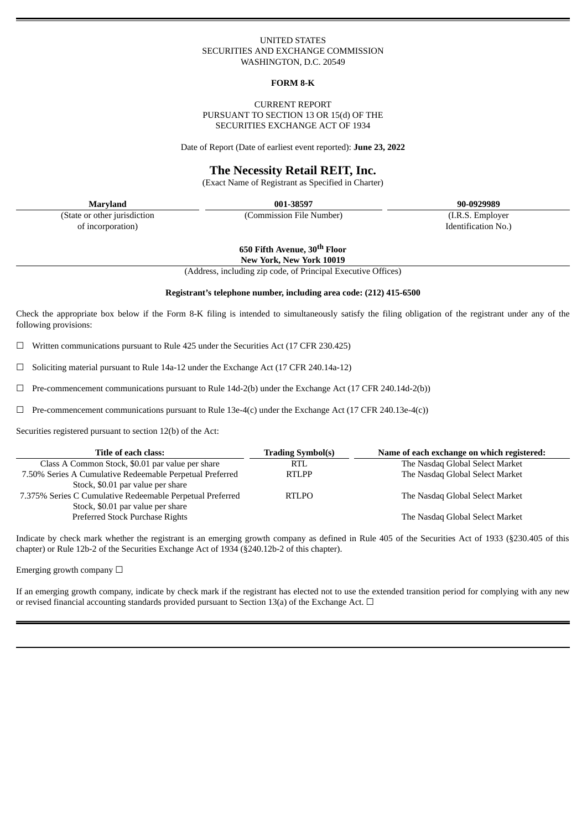## UNITED STATES SECURITIES AND EXCHANGE COMMISSION WASHINGTON, D.C. 20549

#### **FORM 8-K**

## CURRENT REPORT PURSUANT TO SECTION 13 OR 15(d) OF THE SECURITIES EXCHANGE ACT OF 1934

Date of Report (Date of earliest event reported): **June 23, 2022**

# **The Necessity Retail REIT, Inc.**

(Exact Name of Registrant as Specified in Charter)

(State or other jurisdiction of incorporation)

**Maryland 001-38597 90-0929989**

(Commission File Number) (I.R.S. Employer

Identification No.)

**650 Fifth Avenue, 30 th Floor New York, New York 10019**

(Address, including zip code, of Principal Executive Offices)

## **Registrant's telephone number, including area code: (212) 415-6500**

Check the appropriate box below if the Form 8-K filing is intended to simultaneously satisfy the filing obligation of the registrant under any of the following provisions:

 $\Box$  Written communications pursuant to Rule 425 under the Securities Act (17 CFR 230.425)

 $\Box$  Soliciting material pursuant to Rule 14a-12 under the Exchange Act (17 CFR 240.14a-12)

☐ Pre-commencement communications pursuant to Rule 14d-2(b) under the Exchange Act (17 CFR 240.14d-2(b))

 $\Box$  Pre-commencement communications pursuant to Rule 13e-4(c) under the Exchange Act (17 CFR 240.13e-4(c))

Securities registered pursuant to section 12(b) of the Act:

| Title of each class:                                      | <b>Trading Symbol(s)</b> | Name of each exchange on which registered: |
|-----------------------------------------------------------|--------------------------|--------------------------------------------|
| Class A Common Stock, \$0.01 par value per share          | <b>RTL</b>               | The Nasdaq Global Select Market            |
| 7.50% Series A Cumulative Redeemable Perpetual Preferred  | <b>RTLPP</b>             | The Nasdaq Global Select Market            |
| Stock, \$0.01 par value per share                         |                          |                                            |
| 7.375% Series C Cumulative Redeemable Perpetual Preferred | <b>RTLPO</b>             | The Nasdaq Global Select Market            |
| Stock, \$0.01 par value per share                         |                          |                                            |
| Preferred Stock Purchase Rights                           |                          | The Nasdaq Global Select Market            |

Indicate by check mark whether the registrant is an emerging growth company as defined in Rule 405 of the Securities Act of 1933 (§230.405 of this chapter) or Rule 12b-2 of the Securities Exchange Act of 1934 (§240.12b-2 of this chapter).

Emerging growth company  $\Box$ 

If an emerging growth company, indicate by check mark if the registrant has elected not to use the extended transition period for complying with any new or revised financial accounting standards provided pursuant to Section 13(a) of the Exchange Act.  $\Box$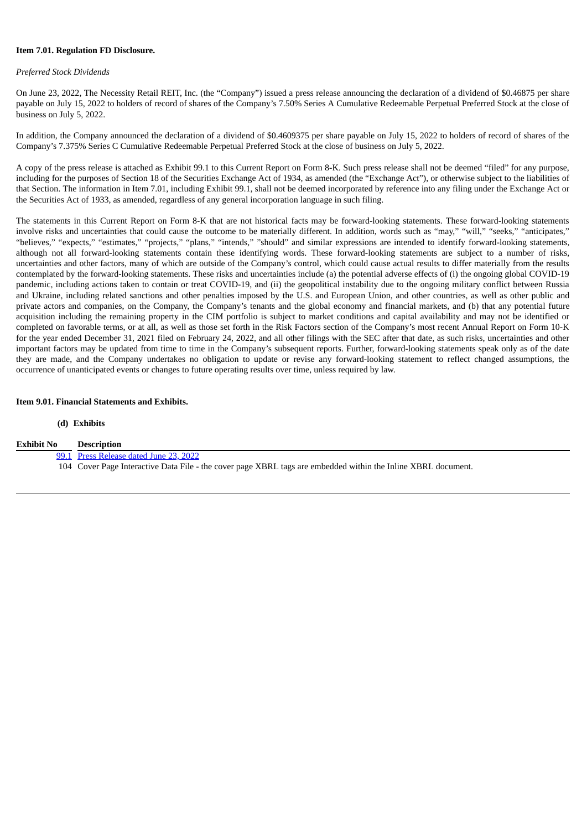## **Item 7.01. Regulation FD Disclosure.**

## *Preferred Stock Dividends*

On June 23, 2022, The Necessity Retail REIT, Inc. (the "Company") issued a press release announcing the declaration of a dividend of \$0.46875 per share payable on July 15, 2022 to holders of record of shares of the Company's 7.50% Series A Cumulative Redeemable Perpetual Preferred Stock at the close of business on July 5, 2022.

In addition, the Company announced the declaration of a dividend of \$0.4609375 per share payable on July 15, 2022 to holders of record of shares of the Company's 7.375% Series C Cumulative Redeemable Perpetual Preferred Stock at the close of business on July 5, 2022.

A copy of the press release is attached as Exhibit 99.1 to this Current Report on Form 8-K. Such press release shall not be deemed "filed" for any purpose, including for the purposes of Section 18 of the Securities Exchange Act of 1934, as amended (the "Exchange Act"), or otherwise subject to the liabilities of that Section. The information in Item 7.01, including Exhibit 99.1, shall not be deemed incorporated by reference into any filing under the Exchange Act or the Securities Act of 1933, as amended, regardless of any general incorporation language in such filing.

The statements in this Current Report on Form 8-K that are not historical facts may be forward-looking statements. These forward-looking statements involve risks and uncertainties that could cause the outcome to be materially different. In addition, words such as "may," "will," "seeks," "anticipates," "believes," "expects," "estimates," "projects," "plans," "intends," "should" and similar expressions are intended to identify forward-looking statements, although not all forward-looking statements contain these identifying words. These forward-looking statements are subject to a number of risks, uncertainties and other factors, many of which are outside of the Company's control, which could cause actual results to differ materially from the results contemplated by the forward-looking statements. These risks and uncertainties include (a) the potential adverse effects of (i) the ongoing global COVID-19 pandemic, including actions taken to contain or treat COVID-19, and (ii) the geopolitical instability due to the ongoing military conflict between Russia and Ukraine, including related sanctions and other penalties imposed by the U.S. and European Union, and other countries, as well as other public and private actors and companies, on the Company, the Company's tenants and the global economy and financial markets, and (b) that any potential future acquisition including the remaining property in the CIM portfolio is subject to market conditions and capital availability and may not be identified or completed on favorable terms, or at all, as well as those set forth in the Risk Factors section of the Company's most recent Annual Report on Form 10-K for the year ended December 31, 2021 filed on February 24, 2022, and all other filings with the SEC after that date, as such risks, uncertainties and other important factors may be updated from time to time in the Company's subsequent reports. Further, forward-looking statements speak only as of the date they are made, and the Company undertakes no obligation to update or revise any forward-looking statement to reflect changed assumptions, the occurrence of unanticipated events or changes to future operating results over time, unless required by law.

## **Item 9.01. Financial Statements and Exhibits.**

#### **(d) Exhibits**

| <b>Exhibit No</b> | <b>Description</b>                                                                                            |
|-------------------|---------------------------------------------------------------------------------------------------------------|
|                   | 99.1 Press Release dated June 23, 2022                                                                        |
|                   | 104 Cover Page Interactive Data File - the cover page XBRL tags are embedded within the Inline XBRL document. |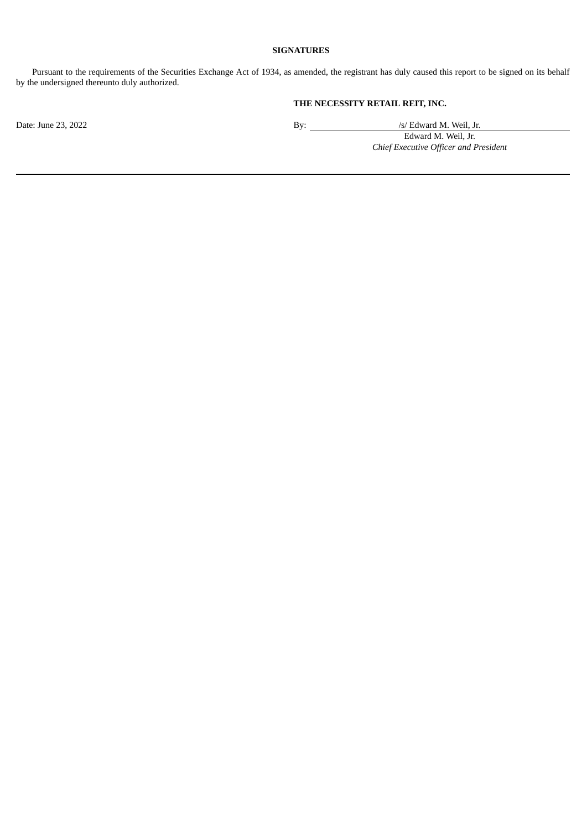# **SIGNATURES**

Pursuant to the requirements of the Securities Exchange Act of 1934, as amended, the registrant has duly caused this report to be signed on its behalf by the undersigned thereunto duly authorized.

# **THE NECESSITY RETAIL REIT, INC.**

Date: June 23, 2022 By: /s/ Edward M. Weil, Jr.

Edward M. Weil, Jr. *Chief Executive Officer and President*